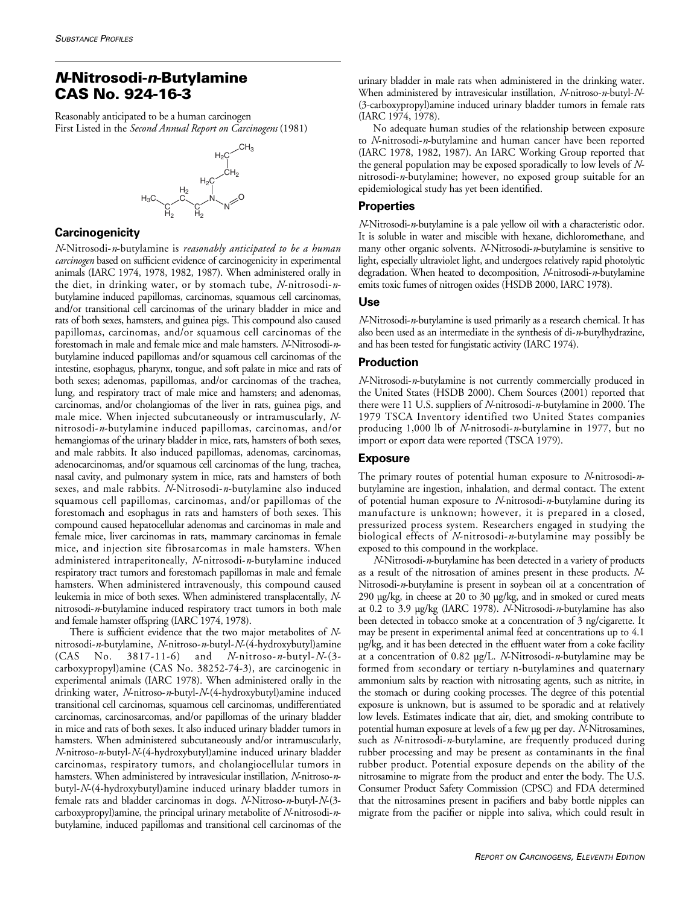# *N***-Nitrosodi-***n***-Butylamine CAS No. 924-16-3**

Reasonably anticipated to be a human carcinogen First Listed in the *Second Annual Report on Carcinogens* (1981)



## **Carcinogenicity**

*N*-Nitrosodi-*n*-butylamine is *reasonably anticipated to be a human carcinogen* based on sufficient evidence of carcinogenicity in experimental animals (IARC 1974, 1978, 1982, 1987). When administered orally in the diet, in drinking water, or by stomach tube, *N*-nitrosodi-*n*butylamine induced papillomas, carcinomas, squamous cell carcinomas, and/or transitional cell carcinomas of the urinary bladder in mice and rats of both sexes, hamsters, and guinea pigs. This compound also caused papillomas, carcinomas, and/or squamous cell carcinomas of the forestomach in male and female mice and male hamsters. *N*-Nitrosodi-*n*butylamine induced papillomas and/or squamous cell carcinomas of the intestine, esophagus, pharynx, tongue, and soft palate in mice and rats of both sexes; adenomas, papillomas, and/or carcinomas of the trachea, lung, and respiratory tract of male mice and hamsters; and adenomas, carcinomas, and/or cholangiomas of the liver in rats, guinea pigs, and male mice. When injected subcutaneously or intramuscularly, *N*nitrosodi-*n*-butylamine induced papillomas, carcinomas, and/or hemangiomas of the urinary bladder in mice, rats, hamsters of both sexes, and male rabbits. It also induced papillomas, adenomas, carcinomas, adenocarcinomas, and/or squamous cell carcinomas of the lung, trachea, nasal cavity, and pulmonary system in mice, rats and hamsters of both sexes, and male rabbits. *N*-Nitrosodi-*n*-butylamine also induced squamous cell papillomas, carcinomas, and/or papillomas of the forestomach and esophagus in rats and hamsters of both sexes. This compound caused hepatocellular adenomas and carcinomas in male and female mice, liver carcinomas in rats, mammary carcinomas in female mice, and injection site fibrosarcomas in male hamsters. When administered intraperitoneally, *N*-nitrosodi-*n*-butylamine induced respiratory tract tumors and forestomach papillomas in male and female hamsters. When administered intravenously, this compound caused leukemia in mice of both sexes. When administered transplacentally, *N*nitrosodi-*n*-butylamine induced respiratory tract tumors in both male and female hamster offspring (IARC 1974, 1978).

There is sufficient evidence that the two major metabolites of *N*nitrosodi-*n*-butylamine, *N*-nitroso-*n*-butyl-*N*-(4-hydroxybutyl)amine (CAS No. 3817-11-6) and *N*-nitroso-*n*-butyl-*N*-(3 carboxypropyl)amine (CAS No. 38252-74-3), are carcinogenic in experimental animals (IARC 1978). When administered orally in the drinking water, *N*-nitroso-*n*-butyl-*N*-(4-hydroxybutyl)amine induced transitional cell carcinomas, squamous cell carcinomas, undifferentiated carcinomas, carcinosarcomas, and/or papillomas of the urinary bladder in mice and rats of both sexes. It also induced urinary bladder tumors in hamsters. When administered subcutaneously and/or intramuscularly, *N*-nitroso-*n*-butyl-*N*-(4-hydroxybutyl)amine induced urinary bladder carcinomas, respiratory tumors, and cholangiocellular tumors in hamsters. When administered by intravesicular instillation, *N*-nitroso-*n*butyl-*N*-(4-hydroxybutyl)amine induced urinary bladder tumors in female rats and bladder carcinomas in dogs. *N*-Nitroso-*n*-butyl-*N*-(3 carboxypropyl)amine, the principal urinary metabolite of *N*-nitrosodi-*n*butylamine, induced papillomas and transitional cell carcinomas of the

urinary bladder in male rats when administered in the drinking water. When administered by intravesicular instillation, *N*-nitroso-*n*-butyl-*N*- (3-carboxypropyl)amine induced urinary bladder tumors in female rats (IARC 1974, 1978).

No adequate human studies of the relationship between exposure to *N*-nitrosodi-*n*-butylamine and human cancer have been reported (IARC 1978, 1982, 1987). An IARC Working Group reported that the general population may be exposed sporadically to low levels of *N*nitrosodi-*n*-butylamine; however, no exposed group suitable for an epidemiological study has yet been identified.

## **Properties**

*N*-Nitrosodi-*n*-butylamine is a pale yellow oil with a characteristic odor. It is soluble in water and miscible with hexane, dichloromethane, and many other organic solvents. *N*-Nitrosodi-*n*-butylamine is sensitive to light, especially ultraviolet light, and undergoes relatively rapid photolytic degradation. When heated to decomposition, *N*-nitrosodi-*n*-butylamine emits toxic fumes of nitrogen oxides (HSDB 2000, IARC 1978).

### **Use**

*N*-Nitrosodi-*n*-butylamine is used primarily as a research chemical. It has also been used as an intermediate in the synthesis of di-*n*-butylhydrazine, and has been tested for fungistatic activity (IARC 1974).

#### **Production**

*N*-Nitrosodi-*n*-butylamine is not currently commercially produced in the United States (HSDB 2000). Chem Sources (2001) reported that there were 11 U.S. suppliers of *N*-nitrosodi-*n*-butylamine in 2000. The 1979 TSCA Inventory identified two United States companies producing 1,000 lb of *N*-nitrosodi-*n*-butylamine in 1977, but no import or export data were reported (TSCA 1979).

#### **Exposure**

The primary routes of potential human exposure to *N*-nitrosodi-*n*butylamine are ingestion, inhalation, and dermal contact. The extent of potential human exposure to *N*-nitrosodi-*n*-butylamine during its manufacture is unknown; however, it is prepared in a closed, pressurized process system. Researchers engaged in studying the biological effects of *N*-nitrosodi-*n*-butylamine may possibly be exposed to this compound in the workplace.

*N*-Nitrosodi-*n*-butylamine has been detected in a variety of products as a result of the nitrosation of amines present in these products. *N*-Nitrosodi-*n*-butylamine is present in soybean oil at a concentration of 290 µg/kg, in cheese at 20 to 30 µg/kg, and in smoked or cured meats at 0.2 to 3.9 µg/kg (IARC 1978). *N*-Nitrosodi-*n*-butylamine has also been detected in tobacco smoke at a concentration of 3 ng/cigarette. It may be present in experimental animal feed at concentrations up to 4.1 µg/kg, and it has been detected in the effluent water from a coke facility at a concentration of 0.82 µg/L. *N*-Nitrosodi-*n*-butylamine may be formed from secondary or tertiary n-butylamines and quaternary ammonium salts by reaction with nitrosating agents, such as nitrite, in the stomach or during cooking processes. The degree of this potential exposure is unknown, but is assumed to be sporadic and at relatively low levels. Estimates indicate that air, diet, and smoking contribute to potential human exposure at levels of a few µg per day. *N*-Nitrosamines, such as *N*-nitrosodi-*n*-butylamine, are frequently produced during rubber processing and may be present as contaminants in the final rubber product. Potential exposure depends on the ability of the nitrosamine to migrate from the product and enter the body. The U.S. Consumer Product Safety Commission (CPSC) and FDA determined that the nitrosamines present in pacifiers and baby bottle nipples can migrate from the pacifier or nipple into saliva, which could result in